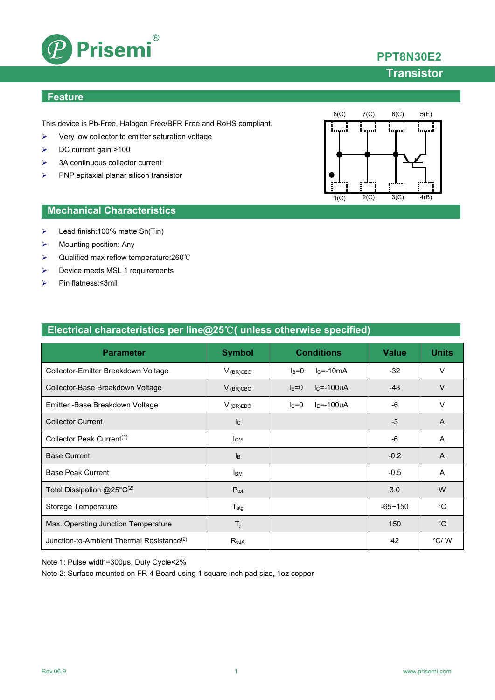

## **PPT8N30E2**

## **Transistor**

### **Feature**

This device is Pb-Free, Halogen Free/BFR Free and RoHS compliant.

- $\triangleright$  Very low collector to emitter saturation voltage
- DC current gain >100
- $\geq$  3A continuous collector current
- $\triangleright$  PNP epitaxial planar silicon transistor



### **Mechanical Characteristics**

- Lead finish:100% matte Sn(Tin)
- $\triangleright$  Mounting position: Any
- Qualified max reflow temperature:260℃
- Device meets MSL 1 requirements
- Pin flatness:≤3mil

| <b>Parameter</b>                    | <b>Symbol</b> | <b>Conditions</b>                | <b>Value</b> | <b>Units</b> |
|-------------------------------------|---------------|----------------------------------|--------------|--------------|
| Collector-Emitter Breakdown Voltage | $V_{(BR)CEO}$ | $lc = -10mA$<br>$I_R = 0$        | $-32$        |              |
| Collector-Base Breakdown Voltage    | $V$ (BR)CBO   | $lc = -100uA$<br>$F=0$           | -48          |              |
| Emitter - Base Breakdown Voltage    | $V_{(BR)EBO}$ | I <sub>F</sub> =-100uA<br>$lc=0$ | -6           |              |
| <b>Collector Current</b>            | Ic            |                                  | -3           | A            |

Collector Peak Current(1) ICM -6 A

Base Current IB -0.2 A Base Peak Current **IBM** -0.5 A

Total Dissipation  $@25^\circ C^{(2)}$  Ptot  $@25^\circ C^{(2)}$  Ptot  $@25^\circ C^{(3)}$  W

Storage Temperature Transformation Contract Contract Transformation Contract Transformation Contract Transformation Contract Transformation Contract Transformation Contract Transformation Contract Transformation Contract T

Max. Operating Junction Temperature  $T_j$   $T_j$   $|$  150  $|$  °C

Junction-to-Ambient Thermal Resistance<sup>(2)</sup> R<sub>θJA</sub> Result 1 A2 | °C/ W

## **Electrical characteristics per line@25**℃**( unless otherwise specified)**

Note 1: Pulse width=300μs, Duty Cycle<2%

Note 2: Surface mounted on FR-4 Board using 1 square inch pad size, 1oz copper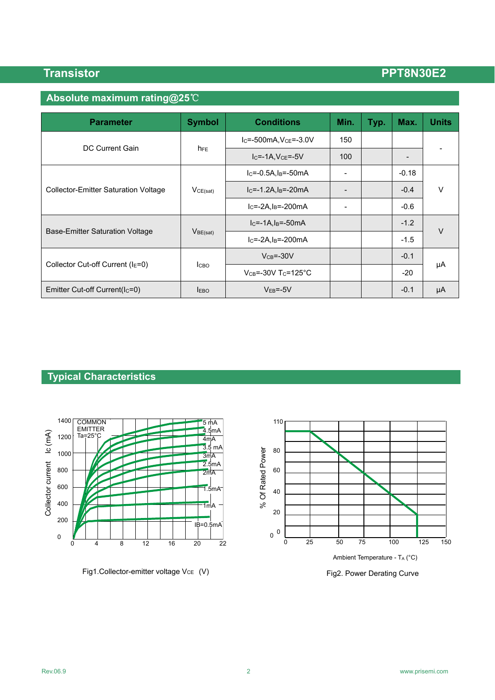# **Absolute maximum rating@25**℃

| <b>Parameter</b>                            | <b>Symbol</b>   | <b>Conditions</b>                     | Min.                     | Typ. | Max.    | <b>Units</b> |
|---------------------------------------------|-----------------|---------------------------------------|--------------------------|------|---------|--------------|
|                                             | h <sub>FE</sub> | $IC=-500mA, VCE=-3.0V$                | 150                      |      |         |              |
| DC Current Gain                             |                 | $IC=-1A, VCE=-5V$                     | 100                      |      | -       |              |
|                                             | VCE(sat)        | $IC=-0.5A, IB=-50mA$                  | $\overline{\phantom{0}}$ |      | $-0.18$ |              |
| <b>Collector-Emitter Saturation Voltage</b> |                 | $IC=-1.2A, IB=-20mA$                  |                          |      | $-0.4$  | $\vee$       |
|                                             |                 | $IC=-2A,IB=-200mA$                    |                          |      | $-0.6$  |              |
|                                             | $V_{BE(sat)}$   | $IC=-1A,IB=-50mA$                     |                          |      | $-1.2$  | $\vee$       |
| Base-Emitter Saturation Voltage             |                 | $IC=-2A,IB=-200mA$                    |                          |      | $-1.5$  |              |
|                                             | <b>I</b> CBO    | $VCB=-30V$                            |                          |      | $-0.1$  |              |
| Collector Cut-off Current ( $IE=0$ )        |                 | $V_{CB} = -30V$ T <sub>C</sub> =125°C |                          |      | $-20$   | μA           |
| Emitter Cut-off Current( $ c=0\rangle$      | <b>EBO</b>      | $VEB=-5V$                             |                          |      | $-0.1$  | μA           |

### **Typical Characteristics**



Fig1.Collector-emitter voltage Vc<sub>E</sub> (V) North Collector-emitter voltage Vc<sub>E</sub> (V) North Collector-emitter voltage Vc<sub>E</sub>

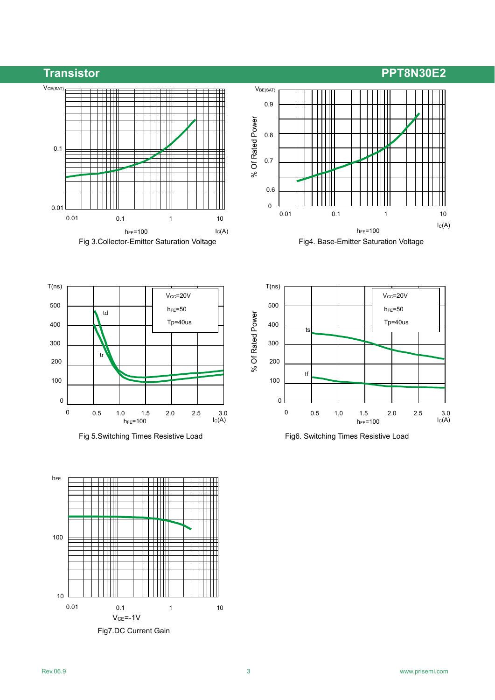













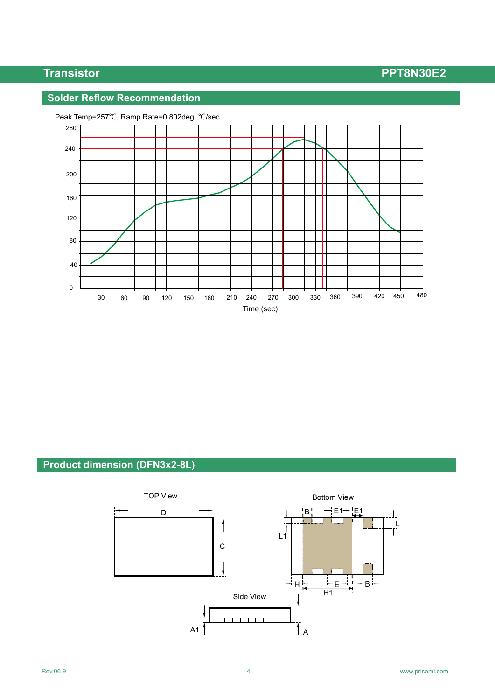## **Solder Reflow Recommendation**



### Peak Temp=257℃, Ramp Rate=0.802deg. ℃/sec

## **Product dimension (DFN3x2-8L)**

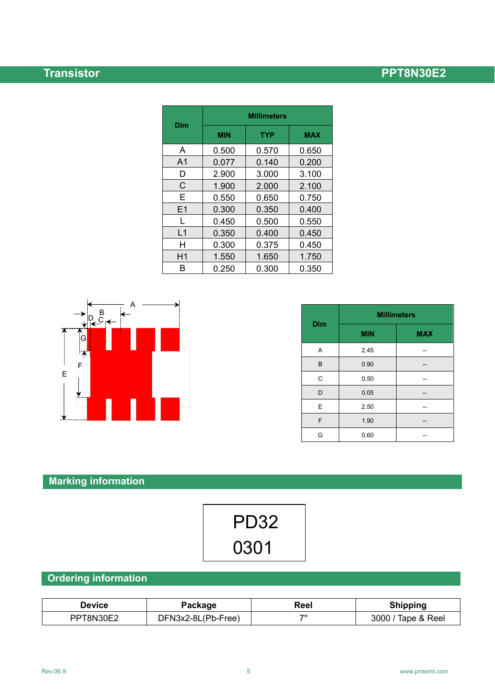| Dim            | <b>Millimeters</b> |            |            |  |
|----------------|--------------------|------------|------------|--|
|                | <b>MIN</b>         | <b>TYP</b> | <b>MAX</b> |  |
| A              | 0.500              | 0.570      | 0.650      |  |
| A <sub>1</sub> | 0.077              | 0.140      | 0.200      |  |
| D              | 2.900              | 3.000      | 3.100      |  |
| C              | 1.900              | 2.000      | 2.100      |  |
| Е              | 0.550              | 0.650      | 0.750      |  |
| E1             | 0.300              | 0.350      | 0.400      |  |
| L              | 0.450              | 0.500      | 0.550      |  |
| L1             | 0.350              | 0.400      | 0.450      |  |
| н              | 0.300              | 0.375      | 0.450      |  |
| H1             | 1.550              | 1.650      | 1.750      |  |
| R              | 0.250              | 0.300      | 0.350      |  |



| <b>Dim</b> | <b>Millimeters</b> |            |  |
|------------|--------------------|------------|--|
|            | <b>MIN</b>         | <b>MAX</b> |  |
| A          | 2.45               |            |  |
| B          | 0.90               |            |  |
| C          | 0.50               |            |  |
| D          | 0.05               |            |  |
| E          | 2.50               |            |  |
| F          | 1.90               |            |  |
| G          | 0.60               |            |  |

# **Marking information**

| <b>PD32</b> |  |
|-------------|--|
| 0301        |  |

# **Ordering information**

| Device    | Package            | Reel | <b>Shipping</b>    |
|-----------|--------------------|------|--------------------|
| PPT8N30E2 | DFN3x2-8L(Pb-Free) | フリ   | 3000 / Tape & Reel |